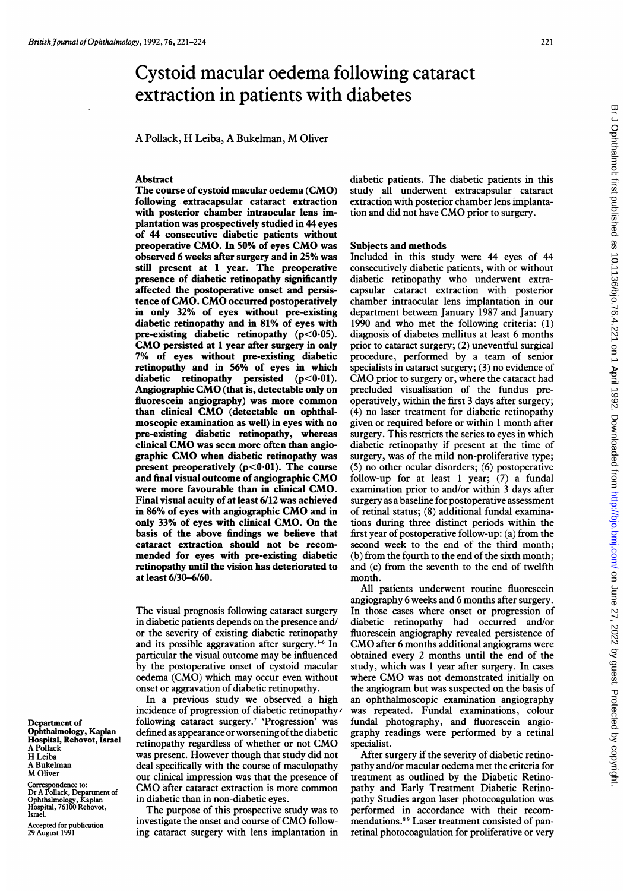# Cystoid macular oedema following cataract extraction in patients with diabetes

A Pollack, H Leiba, A Bukelman, M Oliver

### Abstract

The course of cystoid macular oedema (CMO) following extracapsular cataract extraction with posterior chamber intraocular lens implantation was prospectively studied in 44 eyes of 44 consecutive diabetic patients without preoperative CMO. In 50% of eyes CMO was observed 6 weeks after surgery and in 25% was still present at <sup>1</sup> year. The preoperative presence of diabetic retinopathy significantly affected the postoperative onset and persistence of CMO. CMO occurred postoperatively in only 32% of eyes without pre-existing diabetic retinopathy and in 81% of eyes with pre-existing diabetic retinopathy  $(p<0.05)$ . CMO persisted at <sup>1</sup> year after surgery in only 7% of eyes without pre-existing diabetic retinopathy and in 56% of eyes in which diabetic retinopathy persisted  $(p<0.01)$ . Angiographic CMO (that is, detectable only on fluorescein angiography) was more common than clinical CMO (detectable on ophthalmoscopic examination as well) in eyes with no pre-existing diabetic retinopathy, whereas clinical CMO was seen more often than angiographic CMO when diabetic retinopathy was present preoperatively  $(p<0.01)$ . The course and final visual outcome of angiographic CMO were more favourable than in clinical CMO. Final visual acuity of at least 6/12 was achieved in 86% of eyes with angiographic CMO and in only 33% of eyes with clinical CMO. On the basis of the above findings we believe that cataract extraction should not be recommended for eyes with pre-existing diabetic retinopathy until the vision has deteriorated to at least 6/30-6/60.

The visual prognosis following cataract surgery in diabetic patients depends on the presence and/ or the severity of existing diabetic retinopathy and its possible aggravation after surgery.<sup>1-6</sup> In particular the visual outcome may be influenced by the postoperative onset of cystoid macular oedema (CMO) which may occur even without onset or aggravation of diabetic retinopathy.

In a previous study we observed a high incidence of progression of diabetic retinopathy' following cataract surgery.7 'Progression' was defined as appearance or worsening of the diabetic retinopathy regardless of whether or not CMO was present. However though that study did not deal specifically with the course of maculopathy our clinical impression was that the presence of CMO after cataract extraction is more common in diabetic than in non-diabetic eyes.

The purpose of this prospective study was to investigate the onset and course of CMO following cataract surgery with lens implantation in

diabetic patients. The diabetic patients in this study all underwent extracapsular cataract extraction with posterior chamber lens implantation and did not have CMO prior to surgery.

#### Subjects and methods

Included in this study were 44 eyes of 44 consecutively diabetic patients, with or without diabetic retinopathy who underwent extracapsular cataract extraction with posterior chamber intraocular lens implantation in our department between January 1987 and January 1990 and who met the following criteria: (1) diagnosis of diabetes mellitus at least 6 months prior to cataract surgery; (2) uneventful surgical procedure, performed by a team of senior specialists in cataract surgery; (3) no evidence of CMO prior to surgery or, where the cataract had precluded visualisation of the fundus preoperatively, within the first 3 days after surgery; (4) no laser treatment for diabetic retinopathy given or required before or within <sup>1</sup> month after surgery. This restricts the series to eyes in which diabetic retinopathy if present at the time of surgery, was of the mild non-proliferative type; (5) no other ocular disorders; (6) postoperative follow-up for at least <sup>1</sup> year; (7) a fundal examination prior to and/or within 3 days after surgery as a baseline for postoperative assessment of retinal status; (8) additional fundal examinations during three distinct periods within the first year of postoperative follow-up: (a) from the second week to the end of the third month; (b) from the fourth to the end of the sixth month; and (c) from the seventh to the end of twelfth month.

All patients underwent routine fluorescein angiography 6 weeks and 6 months after surgery. In those cases where onset or progression of diabetic retinopathy had occurred and/or fluorescein angiography revealed persistence of CMO after <sup>6</sup> months additional angiograms were obtained every 2 months until the end of the study, which was <sup>1</sup> year after surgery. In cases where CMO was not demonstrated initially on the angiogram but was suspected on the basis of an ophthalmoscopic examination angiography was repeated. Fundal examinations, colour fundal photography, and fluorescein angiography readings were performed by a retinal specialist.

After surgery if the severity of diabetic retinopathy and/or macular oedema met the criteria for treatment as outlined by the Diabetic Retinopathy and Early Treatment Diabetic Retinopathy Studies argon laser photocoagulation was performed in accordance with their recommendations.<sup>89</sup> Laser treatment consisted of panretinal photocoagulation for proliferative or very

Department of Ophthalmology, Kaplan Hospital, Rehovot, Israel A Pollack H Leiba A Bukelman M Oliver

Coffespondence to: Dr A Pollack, Department of Ophthalmology, Kaplan Hospital, 76100 Rehovot, Israel.

Accepted for publication 29 August 1991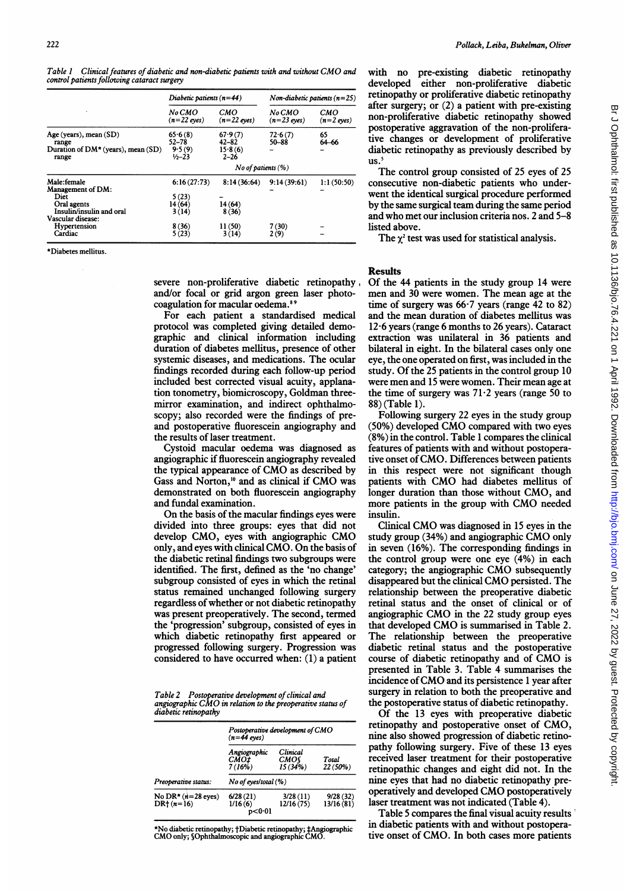Table <sup>I</sup> Clinical features of diabetic and non-diabetic patients with and without CMO and control patients following cataract surgery

|                                                                                     | Diabetic patients $(n=44)$                   |                                             | $Non-diabetic patients (n=25)$ |                     |  |  |
|-------------------------------------------------------------------------------------|----------------------------------------------|---------------------------------------------|--------------------------------|---------------------|--|--|
|                                                                                     | No CMO<br>$(n=22 \text{ eyes})$              | CMO<br>$(n=22$ eyes)                        | No CMO<br>$(n=23$ eves)        | СМО<br>$(n=2$ eyes) |  |  |
| Age (years), mean (SD)<br>range<br>Duration of $DM*$ (years), mean (SD)<br>range    | 65.6(8)<br>$52 - 78$<br>9.5(9)<br>$1/2 - 23$ | 67.9(7)<br>$42 - 82$<br>15.8(6)<br>$2 - 26$ | 72.6(7)<br>50–88               | 65<br>64–66         |  |  |
|                                                                                     | No of patients $(\% )$                       |                                             |                                |                     |  |  |
| Male:female<br>Management of DM:<br>Diet<br>Oral agents<br>Insulin/insulin and oral | 6:16(27:73)<br>5(23)<br>14(64)<br>3 (14)     | 8:14(36:64)<br>14(64)<br>8(36)              | 9:14(39:61)                    | 1:1(50:50)          |  |  |
| Vascular disease:<br>Hypertension<br>Cardiac                                        | 8(36)<br>5(23)                               | 11(50)<br>3(14)                             | 7(30)<br>2(9)                  |                     |  |  |

\*Diabetes mellitus.

severe non-proliferative diabetic retinopathy and/or focal or grid argon green laser photocoagulation for macular oedema."<sup>9</sup>

For each patient a standardised medical protocol was completed giving detailed demographic and clinical information including duration of diabetes mellitus, presence of other systemic diseases, and medications. The ocular findings recorded during each follow-up period included best corrected visual acuity, applanation tonometry, biomicroscopy, Goldman threemirror examination, and indirect ophthalmoscopy; also recorded were the findings of preand postoperative fluorescein angiography and the results of laser treatment.

Cystoid macular oedema was diagnosed as angiographic if fluorescein angiography revealed the typical appearance of CMO as described by Gass and Norton,<sup>10</sup> and as clinical if CMO was demonstrated on both fluorescein angiography and fundal examination.

On the basis of the macular findings eyes were divided into three groups: eyes that did not develop CMO, eyes with angiographic CMO only, and eyes with clinical CMO. On the basis of the diabetic retinal findings two subgroups were identified. The first, defined as the 'no change' subgroup consisted of eyes in which the retinal status remained unchanged following surgery regardless of whether or not diabetic retinopathy was present preoperatively. The second, termed the 'progression' subgroup, consisted of eyes in which diabetic retinopathy first appeared or progressed following surgery. Progression was considered to have occurred when: (1) a patient

Table 2 Postoperative development of clinical and angiographic CMO in relation to the preoperative status of diabetic retinopathy

|                                      | $(n=44$ eves)                  | Postoperative development of CMO         |                       |  |  |  |
|--------------------------------------|--------------------------------|------------------------------------------|-----------------------|--|--|--|
| Preoperative status:                 | Angiographic<br>CMO‡<br>7(16%) | <b>Clinical</b><br><b>CMO</b><br>15(34%) | Total<br>$22(50\%)$   |  |  |  |
|                                      | No of eyes/total (%)           |                                          |                       |  |  |  |
| No DR* $(n=28$ eyes)<br>$DR+ (n=16)$ | 6/28(21)<br>1/16(6)<br>p<0∙01  | 3/28(11)<br>12/16(75)                    | 9/28(32)<br>13/16(81) |  |  |  |

\*No diabetic retinopathy; tDiabetic retinopathy; tAngiographic CMO only; SOphtha1moscopic and angiographic CMO.

with no pre-existing diabetic retinopathy developed either non-proliferative diabetic retinopathy or proliferative diabetic retinopathy after surgery; or (2) a patient with pre-existing non-proliferative diabetic retinopathy showed postoperative aggravation of the non-proliferative changes or development of proliferative diabetic retinopathy as previously described by  $us.<sup>5</sup>$ 

The control group consisted of 25 eyes of 25 consecutive non-diabetic patients who underwent the identical surgical procedure performed by the same surgical team during the same period and who met our inclusion criteria nos. 2 and 5-8 listed above.

The  $\chi^2$  test was used for statistical analysis.

## Results

Of the 44 patients in the study group 14 were men and 30 were women. The mean age at the time of surgery was  $66.7$  years (range 42 to 82) and the mean duration of diabetes mellitus was 12-6 years (range 6 months to 26 years). Cataract extraction was unilateral in 36 patients and bilateral in eight. In the bilateral cases only one eye, the one operated on first, was included in the study. Of the 25 patients in the control group 10 were men and <sup>15</sup> were women. Their mean age at the time of surgery was  $71.2$  years (range 50 to 88) (Table 1).

Following surgery 22 eyes in the study group (50%) developed CMO compared with two eyes (8%) in the control. Table <sup>1</sup> compares the clinical features of patients with and without postoperative onset ofCMO. Differences between patients in this respect were not significant though patients with CMO had diabetes mellitus of longer duration than those without CMO, and more patients in the group with CMO needed insulin.

Clinical CMO was diagnosed in <sup>15</sup> eyes in the study group (34%) and angiographic CMO only in seven (16%). The corresponding findings in the control group were one eye (4%) in each category; the angiographic CMO subsequently disappeared but the clinical CMO persisted. The relationship between the preoperative diabetic retinal status and the onset of clinical or of angiographic CMO in the <sup>22</sup> study group eyes that developed CMO is summarised in Table 2. The relationship between the preoperative diabetic retinal status and the postoperative course of diabetic retinopathy and of CMO is presented in Table 3. Table 4 summarises the incidence of CMO and its persistence <sup>1</sup> year after surgery in relation to both the preoperative and the postoperative status of diabetic retinopathy.

Of the 13 eyes with preoperative diabetic retinopathy and postoperative onset of CMO, nine also showed progression of diabetic retinopathy following surgery. Five of these 13 eyes received laser treatment for their postoperative retinopathic changes and eight did not. In the nine eyes that had no diabetic retinopathy preoperatively and developed CMO postoperatively laser treatment was not indicated (Table 4).

Table 5 compares the final visual acuity results in diabetic patients with and without postoperative onset of CMO. In both cases more patients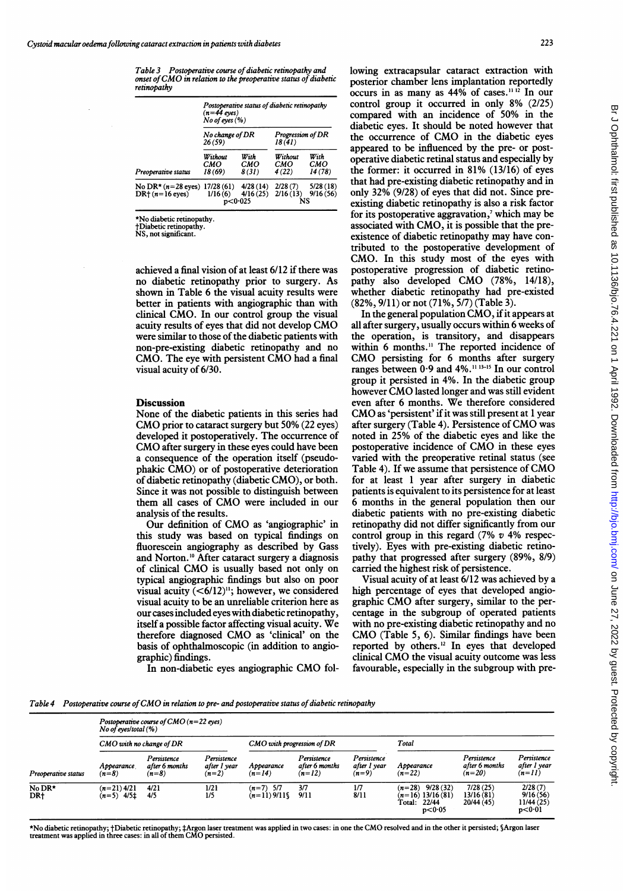Table 3 Postoperative course of diabetic retinopathy and nature 3 T is superative course by all total relationships and one of CMO in relation to the preoperative status of diabetic retinopathy

|                                           | Postoperative status of diabetic retinopathy<br>$(n=44$ eves)<br>$No$ of eyes $(\%)$ |                                   |                              |                        |  |  |
|-------------------------------------------|--------------------------------------------------------------------------------------|-----------------------------------|------------------------------|------------------------|--|--|
|                                           | No change of DR<br>26(59)                                                            |                                   | Progression of DR<br>18 (41) |                        |  |  |
| Preoperative status                       | Without<br>смо<br>18 (69)                                                            | With<br>СМО<br>8(31)              | Without<br>смо<br>4(22)      | With<br>СМО<br>14 (78) |  |  |
| No DR* $(n=28$ eyes)<br>$DR+ (n=16$ eyes) | 17/28(61)<br>1/16(6)                                                                 | 4/28(14)<br>4/16(25)<br>p < 0.025 | 2/28(7)<br>2/16(13)          | 5/28(18)<br>9/16(56)   |  |  |

\*No diabetic retinopathy.

tDiabetic retinopathy. NS, not significant.

achieved a final vision of at least 6/12 if there was no diabetic retinopathy prior to surgery. As shown in Table 6 the visual acuity results were better in patients with angiographic than with clinical CMO. In our control group the visual acuity results of eyes that did not develop CMO were similar to those of the diabetic patients with non-pre-existing diabetic retinopathy and no

CMO. The eye with persistent CMO had <sup>a</sup> final

#### **Discussion**

visual acuity of 6/30.

None of the diabetic patients in this series had CMO prior to cataract surgery but 50% (22 eyes) developed it postoperatively. The occurrence of CMO after surgery in these eyes could have been a consequence of the operation itself (pseudophakic CMO) or of postoperative deterioration of diabetic retinopathy (diabetic CMO), or both. Since it was not possible to distinguish between them all cases of CMO were included in our analysis of the results.

Our definition of CMO as 'angiographic' in this study was based on typical findings on fluorescein angiography as described by Gass and Norton.<sup>10</sup> After cataract surgery a diagnosis of clinical CMO is usually based not only on typical angiographic findings but also on poor visual acuity  $(<6/12)^{11}$ ; however, we considered visual acuity to be an unreliable criterion here as our cases included eyes with diabetic retinopathy, itself <sup>a</sup> possible factor affecting visual acuity. We therefore diagnosed CMO as 'clinical' on the basis of ophthalmoscopic (in addition to angiographic) findings.

In non-diabetic eyes angiographic CMO fol-

lowing extracapsular cataract extraction with posterior chamber lens implantation reportedly occurs in as many as  $44\%$  of cases.<sup>11 12</sup> In our control group it occurred in only 8% (2/25) compared with an incidence of 50% in the diabetic eyes. It should be noted however that the occurrence of CMO in the diabetic eyes appeared to be influenced by the pre- or postoperative diabetic retinal status and especially by the former: it occurred in 81% (13/16) of eyes that had pre-existing diabetic retinopathy and in only 32% (9/28) of eyes that did not. Since preexisting diabetic retinopathy is also a risk factor for its postoperative aggravation,<sup>7</sup> which may be associated with CMO, it is possible that the preexistence of diabetic retinopathy may have contributed to the postoperative development of CMO. In this study most of the eyes with postoperative progression of diabetic retinopathy also developed CMO (78%, 14/18), whether diabetic retinopathy had pre-existed (82%, 9/11) or not (71%, 5/7) (Table 3).

In the general population CMO, if it appears at all after surgery, usually occurs within 6 weeks of the operation, is transitory, and disappears within 6 months.<sup>11</sup> The reported incidence of CMO persisting for <sup>6</sup> months after surgery ranges between 0.9 and 4%.<sup>11 13-15</sup> In our control group it persisted in 4%. In the diabetic group however CMO lasted longer and was still evident even after <sup>6</sup> months. We therefore considered CMO as 'persistent' if it was still present at <sup>1</sup> year after surgery (Table 4). Persistence of CMO was noted in 25% of the diabetic eyes and like the postoperative incidence of CMO in these eyes varied with the preoperative retinal status (see Table 4). If we assume that persistence of CMO for at least <sup>1</sup> year after surgery in diabetic patients is equivalent to its persistence for at least 6 months in the general population then our diabetic patients with no pre-existing diabetic retinopathy did not differ significantly from our control group in this regard  $(7\% \text{ v } 4\% \text{ respectively})$ tively). Eyes with pre-existing diabetic retinopathy that progressed after surgery (89%, 8/9) carried the highest risk of persistence.

Visual acuity of at least 6/12 was achieved by a high percentage of eyes that developed angiographic CMO after surgery, similar to the percentage in the subgroup of operated patients with no pre-existing diabetic retinopathy and no CMO (Table 5, 6). Similar findings have been reported by others.'2 In eyes that developed clinical CMO the visual acuity outcome was less favourable, especially in the subgroup with pre-

Table 4 Postoperative course of CMO in relation to pre- and postoperative status of diabetic retinopathy

| Preoperative status | Postoperative course of $CMO(n=22$ eyes)<br>No of eyes/total $(\% )$ |                                          |                                        |                              |                                           |                                        |                                                                            |                                           |                                               |
|---------------------|----------------------------------------------------------------------|------------------------------------------|----------------------------------------|------------------------------|-------------------------------------------|----------------------------------------|----------------------------------------------------------------------------|-------------------------------------------|-----------------------------------------------|
|                     | CMO with no change of DR                                             |                                          |                                        | CMO with progression of DR   |                                           |                                        | Total                                                                      |                                           |                                               |
|                     | Appearance<br>$(n=8)$                                                | Persistence<br>after 6 months<br>$(n=8)$ | Persistence<br>after I year<br>$(n=2)$ | Appearance<br>$(n=14)$       | Persistence<br>after 6 months<br>$(n=12)$ | Persistence<br>after 1 year<br>$(n=9)$ | Appearance<br>$(n=22)$                                                     | Persistence<br>after 6 months<br>$(n=20)$ | Persistence<br>after 1 year<br>$(n=11)$       |
| No DR*<br>DR+       | $(n=21)$ 4/21<br>$(n=5)$ 4/5‡                                        | 4/21<br>4/5                              | 1/21<br>1/5                            | $(n=7)$ 5/7<br>$(n=11)9/11\$ | 3/7<br>9/11                               | 1/7<br>8/11                            | 9/28(32)<br>$(n=28)$<br>$(n=16)$ 13/16 (81)<br>22/44<br>Total:<br>p < 0.05 | 7/28(25)<br>13/16(81)<br>20/44 (45)       | 2/28(7)<br>9/16(56)<br>11/44 (25)<br>p < 0.01 |

\*No diabetic retinopathy; †Diabetic retinopathy; ‡Argon laser treatment was applied in two cases: in one the CMO resolved and in the other it persisted; §Argon laser<br>treatment was applied in three cases: in all of them CMO